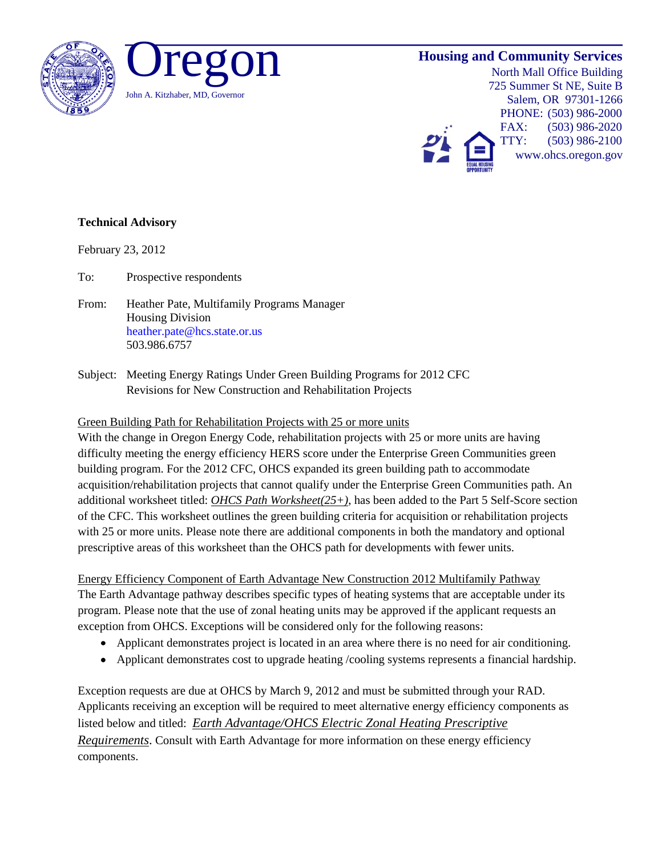

## **Housing and Community Services**

North Mall Office Building 725 Summer St NE, Suite B Salem, OR 97301-1266 PHONE: (503) 986-2000 FAX: (503) 986-2020 TTY: (503) 986-2100 www.ohcs.oregon.gov

## **Technical Advisory**

February 23, 2012

To: Prospective respondents

- From: Heather Pate, Multifamily Programs Manager Housing Division heather.pate@hcs.state.or.us 503.986.6757
- Subject: Meeting Energy Ratings Under Green Building Programs for 2012 CFC Revisions for New Construction and Rehabilitation Projects

## Green Building Path for Rehabilitation Projects with 25 or more units

With the change in Oregon Energy Code, rehabilitation projects with 25 or more units are having difficulty meeting the energy efficiency HERS score under the Enterprise Green Communities green building program. For the 2012 CFC, OHCS expanded its green building path to accommodate acquisition/rehabilitation projects that cannot qualify under the Enterprise Green Communities path. An additional worksheet titled: *OHCS Path Worksheet(25+)*, has been added to the Part 5 Self-Score section of the CFC. This worksheet outlines the green building criteria for acquisition or rehabilitation projects with 25 or more units. Please note there are additional components in both the mandatory and optional prescriptive areas of this worksheet than the OHCS path for developments with fewer units.

Energy Efficiency Component of Earth Advantage New Construction 2012 Multifamily Pathway The Earth Advantage pathway describes specific types of heating systems that are acceptable under its program. Please note that the use of zonal heating units may be approved if the applicant requests an exception from OHCS. Exceptions will be considered only for the following reasons:

- Applicant demonstrates project is located in an area where there is no need for air conditioning.
- Applicant demonstrates cost to upgrade heating /cooling systems represents a financial hardship.

Exception requests are due at OHCS by March 9, 2012 and must be submitted through your RAD. Applicants receiving an exception will be required to meet alternative energy efficiency components as listed below and titled: *Earth Advantage/OHCS Electric Zonal Heating Prescriptive Requirements*. Consult with Earth Advantage for more information on these energy efficiency components.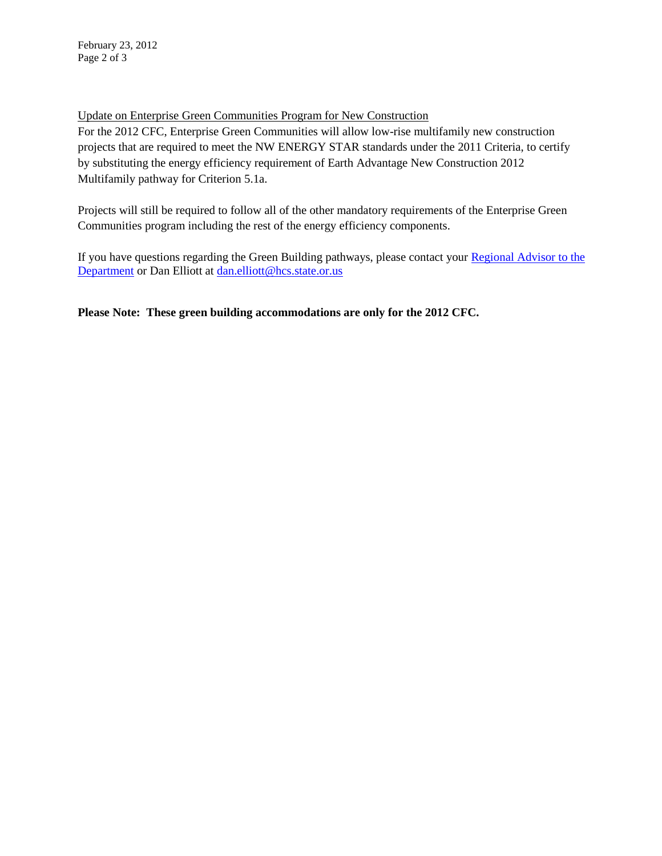Update on Enterprise Green Communities Program for New Construction

For the 2012 CFC, Enterprise Green Communities will allow low-rise multifamily new construction projects that are required to meet the NW ENERGY STAR standards under the 2011 Criteria, to certify by substituting the energy efficiency requirement of Earth Advantage New Construction 2012 Multifamily pathway for Criterion 5.1a.

Projects will still be required to follow all of the other mandatory requirements of the Enterprise Green Communities program including the rest of the energy efficiency components.

If you have questions regarding the Green Building pathways, please contact your Regional Advisor to the [Department](http://www.ohcs.oregon.gov/OHCS/DO_RegionalAdvisors.shtml) or Dan Elliott at [dan.elliott@hcs.state.or.us](mailto:dan.elliott@hcs.state.or.us)

**Please Note: These green building accommodations are only for the 2012 CFC.**